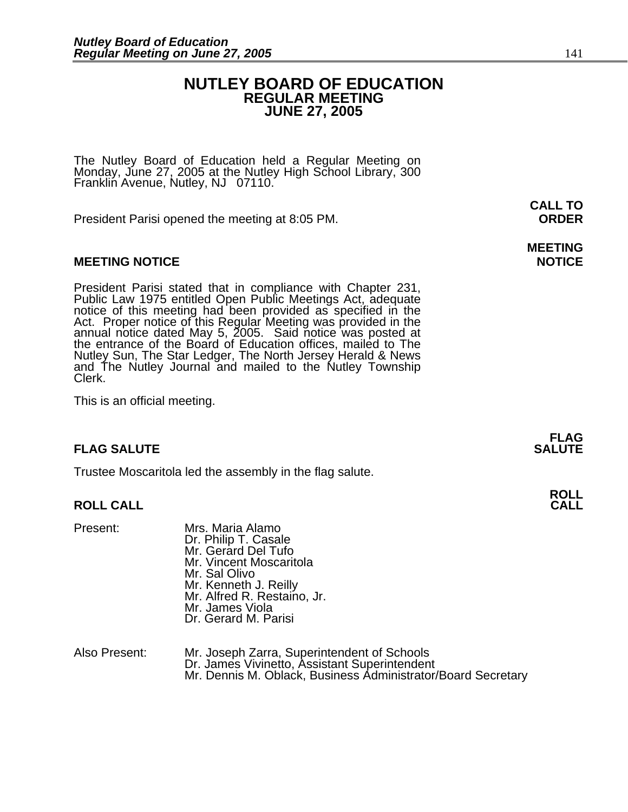### **NUTLEY BOARD OF EDUCATION REGULAR MEETING JUNE 27, 2005**

**CALL TO** 

The Nutley Board of Education held a Regular Meeting on Monday, June 27, 2005 at the Nutley High School Library, 300 Franklin Avenue, Nutley, NJ 07110.

President Parisi opened the meeting at 8:05 PM. **ORDER**

#### **MEETING NOTICE NOTICE AND RESERVE ASSESS**

President Parisi stated that in compliance with Chapter 231, Public Law 1975 entitled Open Public Meetings Act, adequate notice of this meeting had been provided as specified in the Act. Proper notice of this Regular Meeti annual notice dated May 5, 2005. Said notice was posted at the entrance of the Board of Education offices, mailed to The Nutley Sun, The Star Ledger, The North Jersey Herald & News and The Nutley Journal and mailed to the Nutley Township Clerk.

This is an official meeting.

### **FLAG SALUTE SALUTE SALUTE**

Trustee Moscaritola led the assembly in the flag salute.

### **ROLL CALL**

| Present:      | Mrs. Maria Alamo<br>Dr. Philip T. Casale<br>Mr. Gerard Del Tufo<br>Mr. Vincent Moscaritola<br>Mr. Sal Olivo<br>Mr. Kenneth J. Reilly<br>Mr. Alfred R. Restaino, Jr.<br>Mr. James Viola<br>Dr. Gerard M. Parisi |  |
|---------------|----------------------------------------------------------------------------------------------------------------------------------------------------------------------------------------------------------------|--|
| Also Present: | Mr. Joseph Zarra, Superintendent of Schools<br>Dr. James Vivinetto, Assistant Superintendent                                                                                                                   |  |

Mr. Dennis M. Oblack, Business Administrator/Board Secretary

**MEETING** 

**FLAG** 

**ROLL**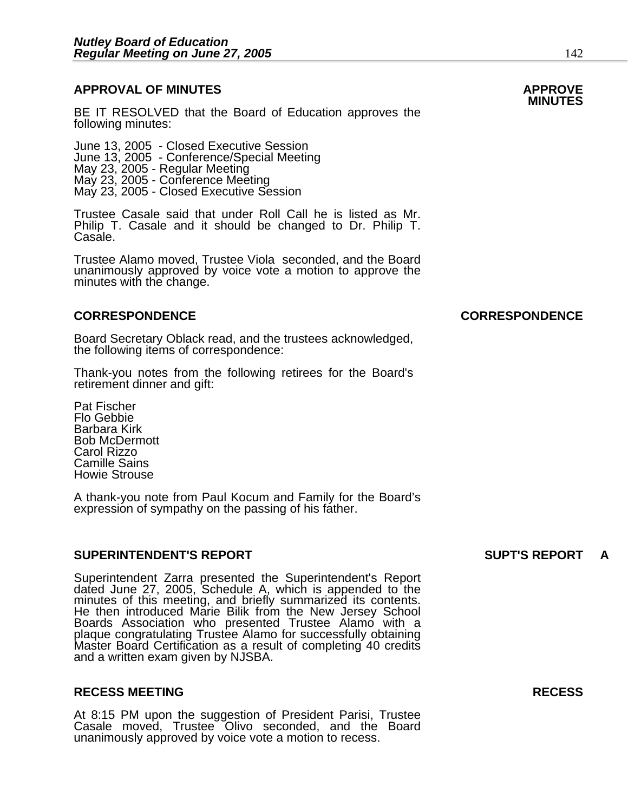### **APPROVAL OF MINUTES APPROVE**

BE IT RESOLVED that the Board of Education approves the following minutes:

 June 13, 2005 - Closed Executive Session June 13, 2005 - Conference/Special Meeting May 23, 2005 - Regular Meeting May 23, 2005 - Conference Meeting May 23, 2005 - Closed Executive Session

> Trustee Casale said that under Roll Call he is listed as Mr. Philip T. Casale and it should be changed to Dr. Philip T. Casale.

> Trustee Alamo moved, Trustee Viola seconded, and the Board unanimously approved by voice vote a motion to approve the minutes with the change.

#### **CORRESPONDENCE CORRESPONDENCE**

Board Secretary Oblack read, and the trustees acknowledged, the following items of correspondence:

Thank-you notes from the following retirees for the Board's retirement dinner and gift:

Pat Fischer Flo Gebbie Barbara Kirk Bob McDermott Carol Rizzo Camille Sains Howie Strouse

A thank-you note from Paul Kocum and Family for the Board's expression of sympathy on the passing of his father.

#### **SUPERINTENDENT'S REPORT SUPT'S REPORT A**

Superintendent Zarra presented the Superintendent's Report dated June 27, 2005, Schedule A, which is appended to the minutes of this meeting, and briefly summarized its contents. He then introduced Marie Bilik from the New Boards Association who presented Trustee Alamo with a plaque congratulating Trustee Alamo for successfully obtaining Master Board Certification as a result of completing 40 credits and a written exam given by NJSBA.

#### **RECESS MEETING RECESS**

At 8:15 PM upon the suggestion of President Parisi, Trustee Casale moved, Trustee Olivo seconded, and the Board unanimously approved by voice vote a motion to recess.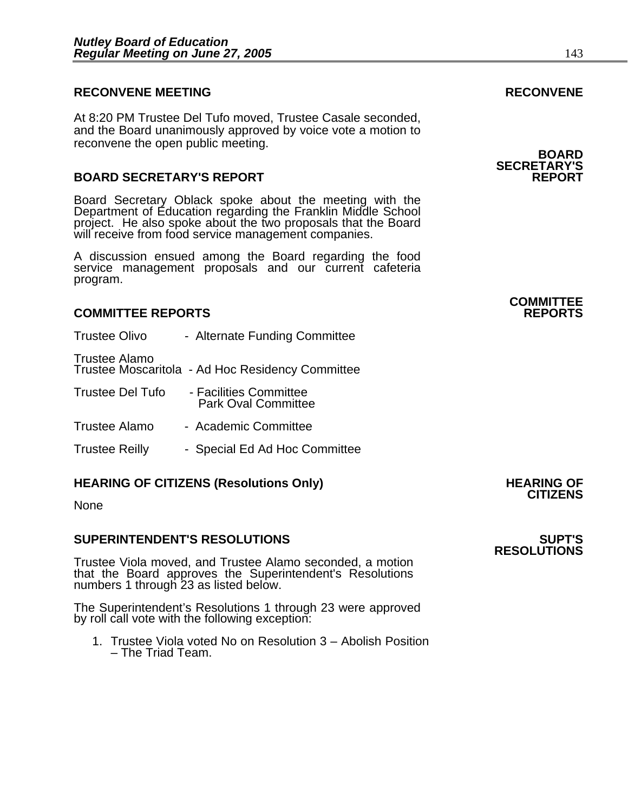#### **RECONVENE MEETING RECONVENE**

At 8:20 PM Trustee Del Tufo moved, Trustee Casale seconded, and the Board unanimously approved by voice vote a motion to reconvene the open public meeting.

#### **BOARD SECRETARY'S REPORT**

Board Secretary Oblack spoke about the meeting with the Department of Éducation regarding the Franklin Middle School<br>project. He also spoke about the two proposals that the Board<br>will receive from food service management companies.

A discussion ensued among the Board regarding the food service management proposals and our current cafeteria program.

#### **COMMITTEE REPORTS REPORTS**

Trustee Olivo - Alternate Funding Committee

Trustee Alamo

Trustee Moscaritola - Ad Hoc Residency Committee

- Trustee Del Tufo Facilities Committee Park Oval Committee
- Trustee Alamo Academic Committee
- Trustee Reilly Special Ed Ad Hoc Committee

### HEARING OF CITIZENS (Resolutions Only) HEARING OF<br>CITIZENS

None

#### **SUPERINTENDENT'S RESOLUTIONS SUPT'S**

Trustee Viola moved, and Trustee Alamo seconded, a motion that the Board approves the Superintendent's Resolutions numbers 1 through 23 as listed below.

The Superintendent's Resolutions 1 through 23 were approved by roll call vote with the following exception:

1. Trustee Viola voted No on Resolution 3 – Abolish Position – The Triad Team.

**BOARD SECRETARY'S** 

**COMMITTEE** 

## **RESOLUTIONS**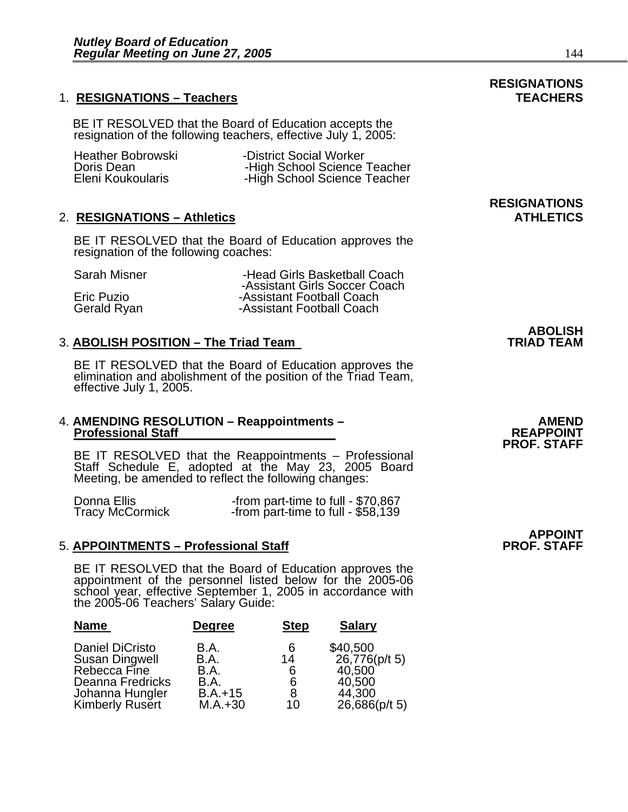#### 1. RESIGNATIONS – Teachers **TEACHERS**

BE IT RESOLVED that the Board of Education accepts the resignation of the following teachers, effective July 1, 2005:

| <b>Heather Bobrowski</b> | -District Social Worker      |
|--------------------------|------------------------------|
| Doris Dean               | -High School Science Teacher |
| Eleni Koukoularis        | -High School Science Teacher |

#### 2. **RESIGNATIONS – Athletics ATHLETICS**

BE IT RESOLVED that the Board of Education approves the resignation of the following coaches:

| Sarah Misner | -Head Girls Basketball Coach  |
|--------------|-------------------------------|
|              | -Assistant Girls Soccer Coach |
| Eric Puzio   | -Assistant Football Coach     |
| Gerald Ryan  | -Assistant Football Coach     |

#### 3. **ABOLISH POSITION – The Triad Team**

BE IT RESOLVED that the Board of Education approves the elimination and abolishment of the position of the Triad Team, effective July 1, 2005.

#### 4. **AMENDING RESOLUTION – Reappointments – AMEND Professional Staff**

BE IT RESOLVED that the Reappointments – Professional Staff Schedule E, adopted at the May 23, 2005 Board Meeting, be amended to reflect the following changes:

| Donna Ellis            | -from part-time to full - \$70,867 |
|------------------------|------------------------------------|
| <b>Tracy McCormick</b> | -from part-time to full - \$58,139 |

#### **5. APPOINTMENTS - Professional Staff**

BE IT RESOLVED that the Board of Education approves the<br>appointment of the personnel listed below for the 2005-06<br>school year, effective September 1, 2005 in accordance with the 2005-06 Teachers' Salary Guide:

| <b>Name</b>                      | <b>Degree</b> | <b>Step</b> | <b>Salary</b>    |
|----------------------------------|---------------|-------------|------------------|
| <b>Daniel DiCristo</b>           | B.A.          | 6           | \$40,500         |
| <b>Susan Dingwell</b>            | B.A.          | 14          | 26,776(p/t 5)    |
| Rebecca Fine<br>Deanna Fredricks | B.A.<br>B.A.  | 6<br>6      | 40,500<br>40,500 |
| Johanna Hungler                  | $B.A.+15$     | 8           | 44,300           |
| <b>Kimberly Rusert</b>           | $M.A.+30$     | 10          | $26,686$ (p/t 5) |

## **RESIGNATIONS**

## **ABOLISH**

# **PROF. STAFF**

**APPOINT<br>PROF. STAFF** 

## **RESIGNATIONS**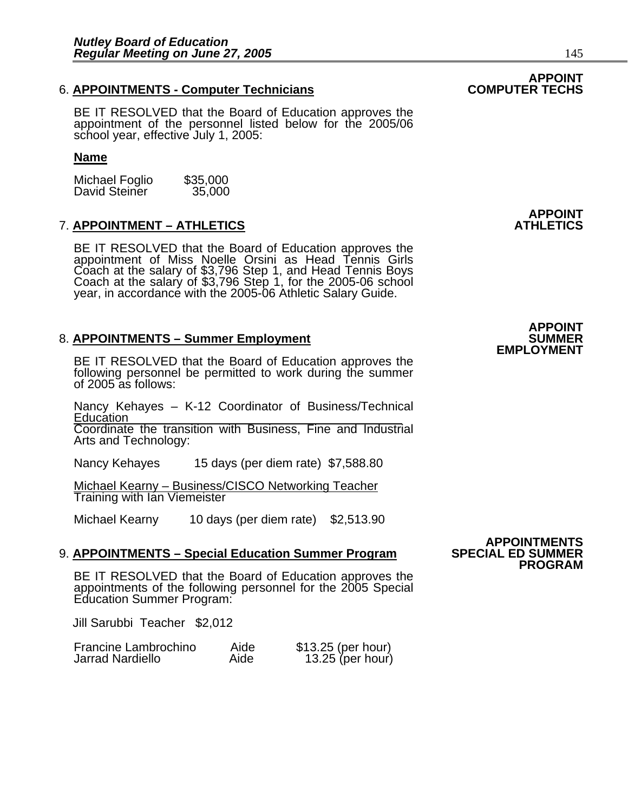#### 6. **APPOINTMENTS - Computer Technicians**

BE IT RESOLVED that the Board of Education approves the appointment of the personnel listed below for the 2005/06 school year, effective July 1, 2005:

#### **Name**

Michael Foglio \$35,000<br>David Steiner 35,000 David Steiner

### 7. **APPOINTMENT – ATHLETICS ATHLETICS**

BE IT RESOLVED that the Board of Education approves the<br>appointment of Miss Noelle Orsini as Head Tennis Girls Coach at the salary of \$3,796 Step 1, and Head Tennis Boys Coach at the salary of \$3,796 Step 1, for the 2005-06 school<br>year, in accordance with the 2005-06 Athletic Salary Guide.

#### 8. **APPOINTMENTS – Summer Employment**

BE IT RESOLVED that the Board of Education approves the following personnel be permitted to work during the summer of 2005 as follows:

Nancy Kehayes – K-12 Coordinator of Business/Technical **Education** Coordinate the transition with Business, Fine and Industrial

Arts and Technology:

Nancy Kehayes 15 days (per diem rate) \$7,588.80

Michael Kearny – Business/CISCO Networking Teacher Training with Ian Viemeister

Michael Kearny 10 days (per diem rate) \$2,513.90

#### 9. **APPOINTMENTS – Special Education Summer Program**

BE IT RESOLVED that the Board of Education approves the appointments of the following personnel for the 2005 Special Education Summer Program:

Jill Sarubbi Teacher \$2,012

| Francine Lambrochino | Aide | \$13.25 (per hour) |
|----------------------|------|--------------------|
| Jarrad Nardiello     | Aide | 13.25 (per hour)   |

### **APPOINTMENTS PROGRAM**

## **APPOINT**

# **APPOINT**

**EMPLOYMENT** 

### **APPOINT<br>COMPUTER TECHS**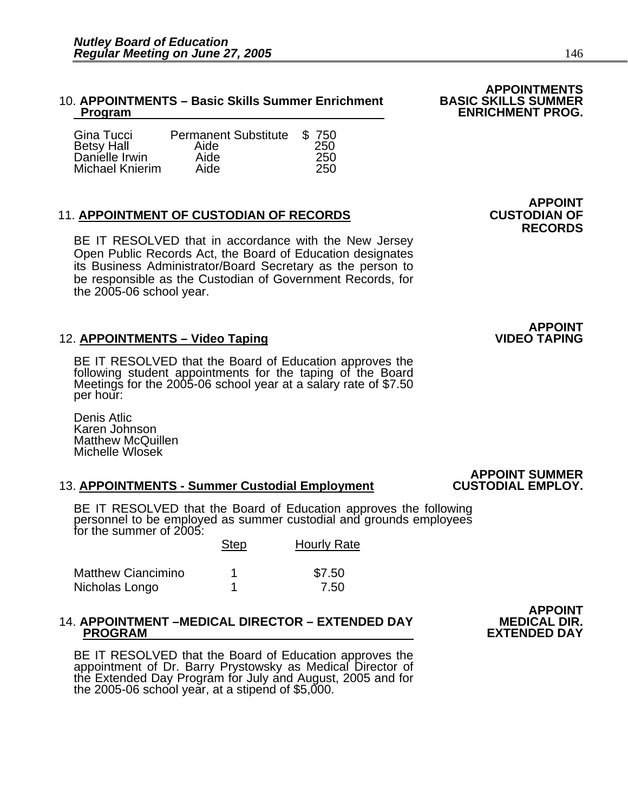#### **10. APPOINTMENTS – Basic Skills Summer Enrichment Program ENRICHMENT PROG.**

| Gina Tucci        | <b>Permanent Substitute</b> | \$750 |
|-------------------|-----------------------------|-------|
| <b>Betsy Hall</b> | Aide                        | 250   |
| Danielle Irwin    | Aide                        | 250   |
| Michael Knierim   | Aide                        | 250   |

#### **11. APPOINTMENT OF CUSTODIAN OF RECORDS**

BE IT RESOLVED that in accordance with the New Jersey Open Public Records Act, the Board of Education designates its Business Administrator/Board Secretary as the person to be responsible as the Custodian of Government Records, for the 2005-06 school year.

#### 12. **APPOINTMENTS – Video Taping**

BE IT RESOLVED that the Board of Education approves the following student appointments for the taping of the Board Meetings for the 2005-06 school year at a salary rate of \$7.50 per hour:

Denis Atlic Karen Johnson Matthew McQuillen Michelle Wlosek

#### **13. APPOINTMENTS - Summer Custodial Employment**

BE IT RESOLVED that the Board of Education approves the following personnel to be employed as summer custodial and grounds employees for the summer of 2005:

Step Hourly Rate

|                    | ごい | .      |
|--------------------|----|--------|
|                    |    |        |
| Matthew Ciancimino |    | \$7.50 |
| Nicholas Longo     |    | 7.50   |

## **14. APPOINTMENT –MEDICAL DIRECTOR – EXTENDED DAY<br>PROGRAM**

BE IT RESOLVED that the Board of Education approves the appointment of Dr. Barry Prystowsky as Medical Director of the Extended Day Program for July and August, 2005 and for the 2005-06 school year, at a stipend of \$5,000.

### **APPOINT<br>.MEDICAL DIR EXTENDED DAY**

**APPOINT SUMMER** 

# **APPOINTMENTS**

**APPOINT<br>CUSTODIAN OF RECORDS** 

### **APPOINT<br>VIDEO TAPING**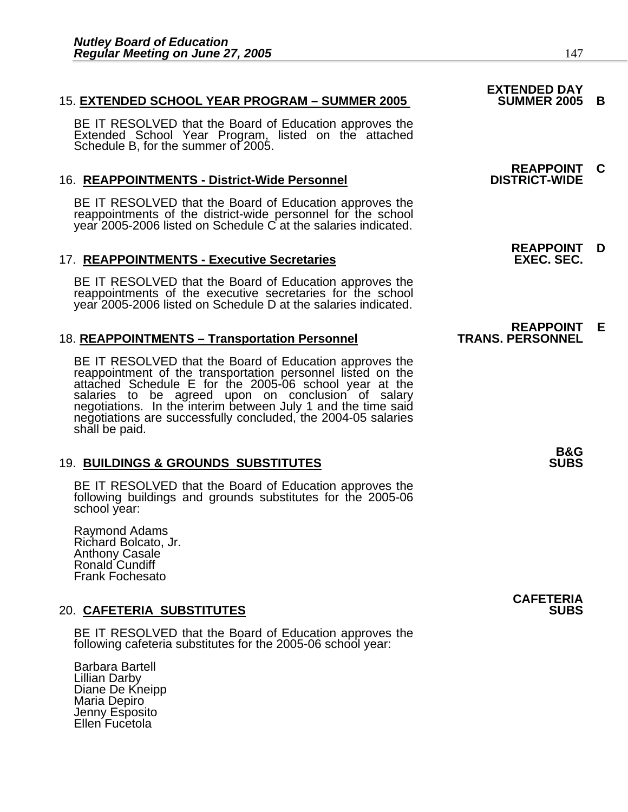#### 15. **EXTENDED SCHOOL YEAR PROGRAM - SUMMER 2005**

BE IT RESOLVED that the Board of Education approves the Extended School Year Program, listed on the attached Schedule B, for the summer of 2005.

#### **16. REAPPOINTMENTS - District-Wide Personnel**

BE IT RESOLVED that the Board of Education approves the reappointments of the district-wide personnel for the school year 2005-2006 listed on Schedule C at the salaries indicated.

#### **17. REAPPOINTMENTS - Executive Secretaries**

BE IT RESOLVED that the Board of Education approves the reappointments of the executive secretaries for the school year 2005-2006 listed on Schedule D at the salaries indicated.

#### **18. REAPPOINTMENTS – Transportation Personnel**

BE IT RESOLVED that the Board of Education approves the reappointment of the transportation personnel listed on the attached Schedule E for the 2005-06 school year at the salaries to be agreed upon on conclusion of salary negotiations. In the interim between July 1 and the time said negotiations are successfully concluded, the 2004-05 salaries shall be paid.

#### **19. BUILDINGS & GROUNDS SUBSTITUTES**

BE IT RESOLVED that the Board of Education approves the following buildings and grounds substitutes for the 2005-06 school year:

Raymond Adams Richard Bolcato, Jr. Anthony Casale Ronald Cundiff Frank Fochesato

#### **20. CAFETERIA SUBSTITUTES**

BE IT RESOLVED that the Board of Education approves the following cafeteria substitutes for the 2005-06 school year:

Barbara Bartell Lillian Darby Diane De Kneipp Maria Depiro Jenny Esposito Ellen Fucetola

### **EXTENDED DAY**

## **REAPPOINT C**

**REAPPOINT D** 

## **REAPPOINT E**<br>TRANS. PERSONNEL

**B&G** 

**CAFETERIA**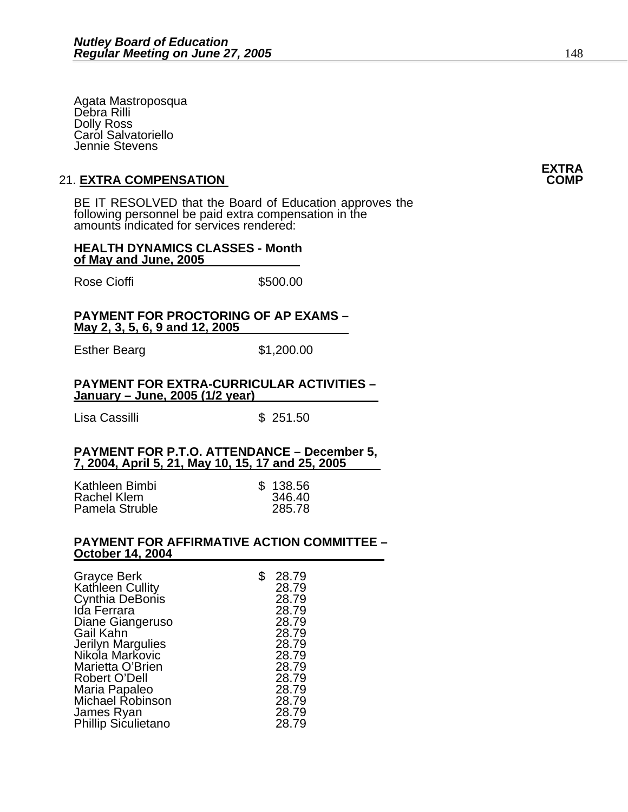Agata Mastroposqua Debra Rilli Dolly Ross Carol Salvatoriello Jennie Stevens

#### **21. EXTRA COMPENSATION**

BE IT RESOLVED that the Board of Education approves the following personnel be paid extra compensation in the amounts indicated for services rendered:

#### **HEALTH DYNAMICS CLASSES - Month of May and June, 2005**

Rose Cioffi **\$500.00** 

#### **PAYMENT FOR PROCTORING OF AP EXAMS – May 2, 3, 5, 6, 9 and 12, 2005**

Esther Bearg \$1,200.00

#### **PAYMENT FOR EXTRA-CURRICULAR ACTIVITIES – January – June, 2005 (1/2 year)**

Lisa Cassilli **\$** 251.50

#### **PAYMENT FOR P.T.O. ATTENDANCE – December 5, 7, 2004, April 5, 21, May 10, 15, 17 and 25, 2005**

| Kathleen Bimbi | \$138.56 |
|----------------|----------|
| Rachel Klem    | 346.40   |
| Pamela Struble | 285.78   |

#### **PAYMENT FOR AFFIRMATIVE ACTION COMMITTEE – October 14, 2004**

| <b>Grayce Berk</b>         | 28.79 |
|----------------------------|-------|
| <b>Kathleen Cullity</b>    | 28.79 |
| Cynthia DeBonis            | 28.79 |
| Iɗa Ferrara                | 28.79 |
| Diane Giangeruso           | 28.79 |
| Gail Kahn                  | 28.79 |
| Jerilyn Margulies          | 28.79 |
| Nikola Markovic            | 28.79 |
| Marietta O'Brien           | 28.79 |
| Robert O'Dell              | 28.79 |
| Maria Papaleo              | 28.79 |
| <b>Michael Robinson</b>    | 28.79 |
| James Ryan                 | 28.79 |
| <b>Phillip Siculietano</b> | 28.79 |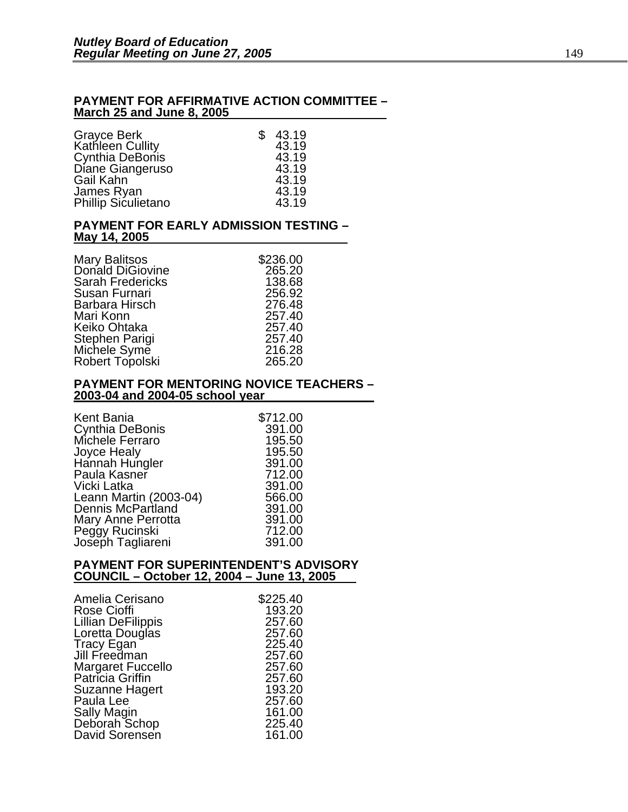#### **PAYMENT FOR AFFIRMATIVE ACTION COMMITTEE – March 25 and June 8, 2005**

| Grayce Berk                | S | 43.19 |
|----------------------------|---|-------|
| Kathleen Cullity           |   | 43.19 |
| Cynthia DeBonis            |   | 43.19 |
| Díane Giangeruso           |   | 43.19 |
| Gail Kahn                  |   | 43.19 |
| James Ryan                 |   | 43.19 |
| <b>Phillip Siculietano</b> |   | 43.19 |

#### **PAYMENT FOR EARLY ADMISSION TESTING – May 14, 2005**

| <b>Mary Balitsos</b>    | \$236.00 |
|-------------------------|----------|
| Donald DiGiovine        | 265.20   |
| <b>Sarah Fredericks</b> | 138.68   |
| Susan Furnari           | 256.92   |
| Barbara Hirsch          | 276.48   |
| Mari Konn               | 257.40   |
| Keiko Ohtaka            | 257.40   |
| Stephen Parigi          | 257.40   |
| Michele Symē            | 216.28   |
| Robert Topolski         | 265.20   |

#### **PAYMENT FOR MENTORING NOVICE TEACHERS – 2003-04 and 2004-05 school year**

| Kent Bania             | \$712.00 |
|------------------------|----------|
| Cynthia DeBonis        | 391.00   |
| Michele Ferraro        | 195.50   |
| Joyce Healy            | 195.50   |
| Hannah Hungler         | 391.00   |
| Paula Kasner           | 712.00   |
| Vicki Latka            | 391.00   |
| Leann Martin (2003-04) | 566.00   |
| Dennis McPartland      | 391.00   |
| Mary Anne Perrotta     | 391.00   |
| Peggy Rucinski         | 712.00   |
| Joseph Tagliareni      | 391.00   |

#### **PAYMENT FOR SUPERINTENDENT'S ADVISORY COUNCIL – October 12, 2004 – June 13, 2005**

| Amelia Cerisano                       | \$225.40 |
|---------------------------------------|----------|
| <b>Rose Cioffi</b>                    | 193.20   |
| <b>Lillian DeFilippis</b>             | 257.60   |
| Loretta Douglas                       | 257.60   |
| <b>Tracy Egan</b>                     | 225.40   |
| Jill Freedman                         | 257.60   |
| Margaret Fuccello<br>Patricia Griffin | 257.60   |
|                                       | 257.60   |
| Suzanne Hagert                        | 193.20   |
| Paula Lee                             | 257.60   |
| <b>Sally Magin</b>                    | 161.00   |
| Deborah Schop                         | 225.40   |
| David Sorensen                        | 161.00   |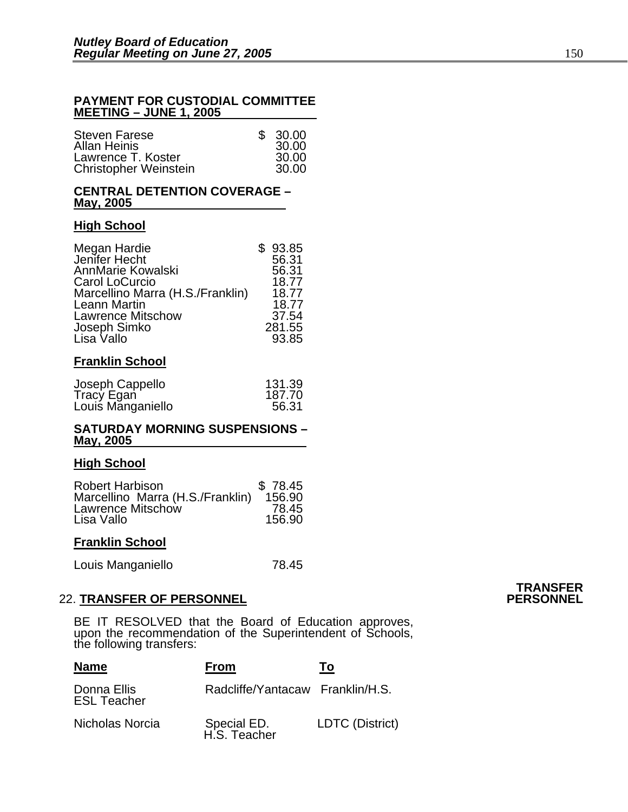#### **PAYMENT FOR CUSTODIAL COMMITTEE MEETING – JUNE 1, 2005**

| <b>Steven Farese</b>         | 30.00 |
|------------------------------|-------|
| <b>Allan Heinis</b>          | 30.00 |
| Lawrence T. Koster           | 30.00 |
| <b>Christopher Weinstein</b> | 30.00 |

#### **CENTRAL DETENTION COVERAGE – May, 2005**

#### **High School**

| Megan Hardie                     | \$93.85 |
|----------------------------------|---------|
| Jenifer Hecht                    | 56.31   |
| AnnMarie Kowalski                | 56.31   |
| Carol LoCurcio                   | 18.77   |
| Marcellino Marra (H.S./Franklin) | 18.77   |
| Leann Martin                     | 18.77   |
| <b>Lawrence Mitschow</b>         | 37.54   |
| Joseph Simko                     | 281.55  |
| Lisa Vallo                       | 93.85   |
|                                  |         |

#### **Franklin School**

| Joseph Cappello   | 131.39 |
|-------------------|--------|
| Tracy Egan        | 187.70 |
| Louis Manganiello | 56.31  |

#### **SATURDAY MORNING SUSPENSIONS – May, 2005**

#### **High School**

| <b>Robert Harbison</b>           | \$78.45 |
|----------------------------------|---------|
| Marcellino Marra (H.S./Franklin) | 156.90  |
| Lawrence Mitschow                | 78.45   |
| Lisa Vallo                       | 156.90  |

#### **Franklin School**

Louis Manganiello 78.45

#### **22. TRANSFER OF PERSONNEL**

BE IT RESOLVED that the Board of Education approves, upon the recommendation of the Superintendent of Schools, the following transfers:

| <b>Name</b>                       | <b>From</b>                      | To              |
|-----------------------------------|----------------------------------|-----------------|
| Donna Ellis<br><b>ESL Teacher</b> | Radcliffe/Yantacaw Franklin/H.S. |                 |
| Nicholas Norcia                   | Special ED.<br>H.S. Teacher      | LDTC (District) |

## **TRANSFER**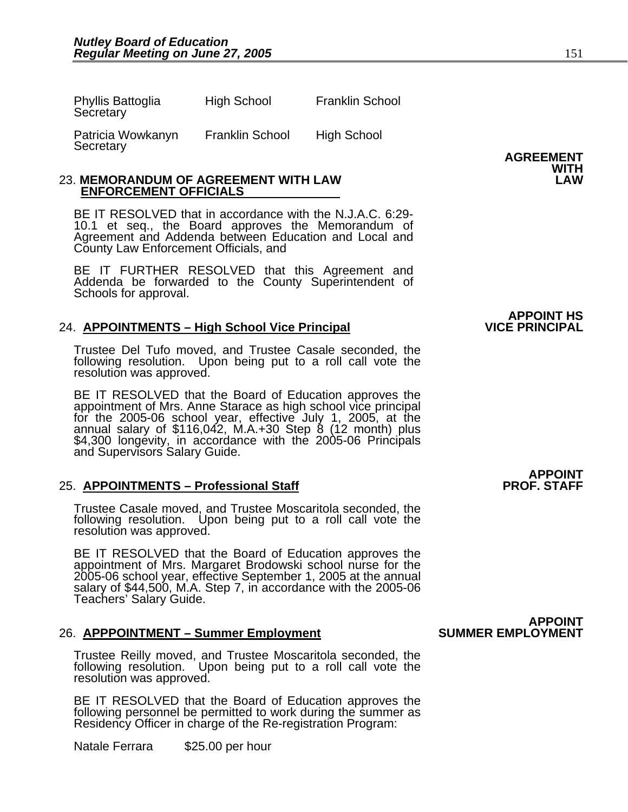| <b>Phyllis Battoglia</b><br>Secretary | <b>High School</b>     | <b>Franklin School</b> |                  |
|---------------------------------------|------------------------|------------------------|------------------|
| Patricia Wowkanyn<br>Secretary        | <b>Franklin School</b> | <b>High School</b>     | <b>AGREEMENT</b> |

#### 23. **MEMORANDUM OF AGREEMENT WITH LAW LAW ENFORCEMENT OFFICIALS**

BE IT RESOLVED that in accordance with the N.J.A.C. 6:29- 10.1 et seq., the Board approves the Memorandum of Agreement and Addenda between Education and Local and County Law Enforcement Officials, and

BE IT FURTHER RESOLVED that this Agreement and Addenda be forwarded to the County Superintendent of Schools for approval.

#### 24. **APPOINTMENTS – High School Vice Principal**

Trustee Del Tufo moved, and Trustee Casale seconded, the following resolution. Upon being put to a roll call vote the resolution was approved.

BE IT RESOLVED that the Board of Education approves the<br>appointment of Mrs. Anne Starace as high school vice principal<br>for the 2005-06 school year, effective July 1, 2005, at the<br>annual salary of \$116,042, M.A.+30 Step 8 (

#### 25. **APPOINTMENTS - Professional Staff**

Trustee Casale moved, and Trustee Moscaritola seconded, the following resolution. Upon being put to a roll call vote the resolution was approved.

BE IT RESOLVED that the Board of Education approves the appointment of Mrs. Margaret Brodowski school nurse for the 2005-06 school year, effective September 1, 2005 at the annual salary of \$44,500, M.A. Step 7, in accordance with the 2005-06 Teachers' Salary Guide.

#### 26. **APPPOINTMENT – Summer Employment**

Trustee Reilly moved, and Trustee Moscaritola seconded, the following resolution. Upon being put to a roll call vote the resolution was approved.

BE IT RESOLVED that the Board of Education approves the following personnel be permitted to work during the summer as Residency Officer in charge of the Re-registration Program:

Natale Ferrara \$25.00 per hour

**WITH** 

**APPOINT HS** 

### **APPOINT<br>PROF. STAFF**

**APPOINT<br>SUMMER EMPLOYMENT**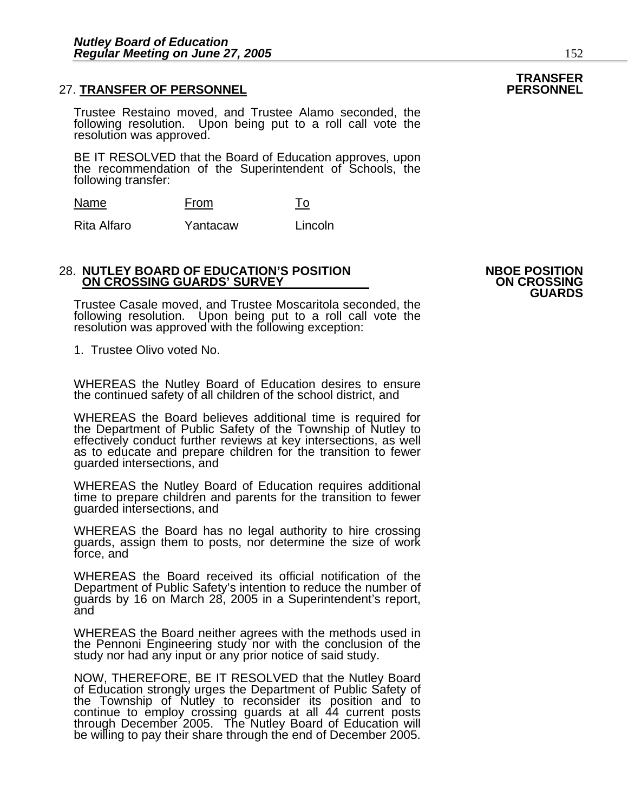#### **27. TRANSFER OF PERSONNEL**

Trustee Restaino moved, and Trustee Alamo seconded, the following resolution. Upon being put to a roll call vote the resolution was approved.

BE IT RESOLVED that the Board of Education approves, upon the recommendation of the Superintendent of Schools, the following transfer:

| Name | From |  |
|------|------|--|
|      |      |  |

Rita Alfaro Yantacaw Lincoln

### 28. **NUTLEY BOARD OF EDUCATION'S POSITION NBOE POSITION ON CROSSING GUARDS' SURVEY ON CROSSING GUARDS**

Trustee Casale moved, and Trustee Moscaritola seconded, the following resolution. Upon being put to a roll call vote the resolution was approved with the following exception:

1. Trustee Olivo voted No.

WHEREAS the Nutley Board of Education desires to ensure the continued safety of all children of the school district, and

WHEREAS the Board believes additional time is required for the Department of Public Safety of the Township of Nutley to effectively conduct further reviews at key intersections, as well as to educate and prepare children for the transition to fewer guarded intersections, and

WHEREAS the Nutley Board of Education requires additional time to prepare children and parents for the transition to fewer guarded intersections, and

WHEREAS the Board has no legal authority to hire crossing guards, assign them to posts, nor determine the size of work force, and

WHEREAS the Board received its official notification of the Department of Public Safety's intention to reduce the number of guards by 16 on March 28, 2005 in a Superintendent's report, and

WHEREAS the Board neither agrees with the methods used in the Pennoni Engineering study nor with the conclusion of the study nor had any input or any prior notice of said study.

NOW, THEREFORE, BE IT RESOLVED that the Nutley Board<br>of Education strongly urges the Department of Public Safety of<br>the Township of Nutley to reconsider its position and to<br>continue to employ crossing guards at all 44 curr

## **TRANSFER**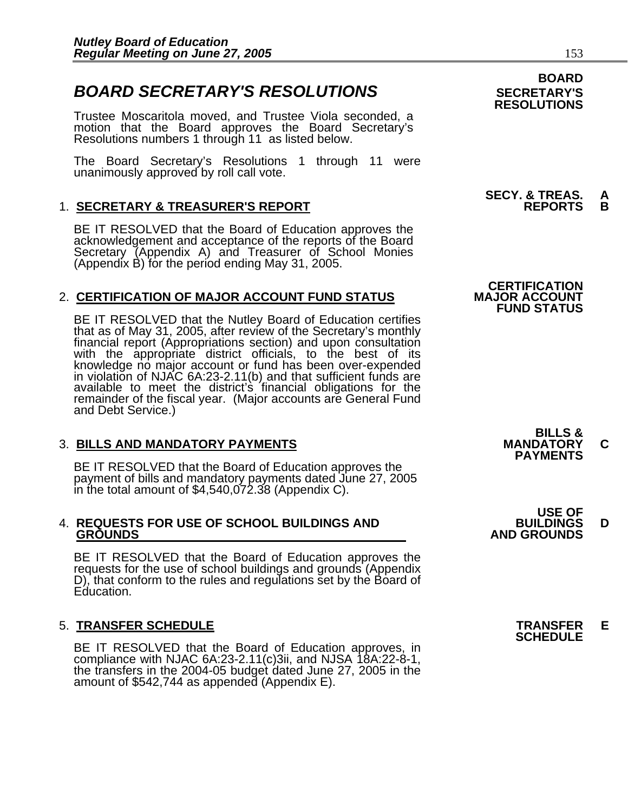### **BOARD SECRETARY'S RESOLUTIONS** SECRETARY'S

Trustee Moscaritola moved, and Trustee Viola seconded, a motion that the Board approves the Board Secretary's Resolutions numbers 1 through 11 as listed below.

The Board Secretary's Resolutions 1 through 11 were unanimously approved by roll call vote.

### **1. SECRETARY & TREASURER'S REPORT**

BE IT RESOLVED that the Board of Education approves the acknowledgement and acceptance of the reports of the Board<br>Secretary (Appendix A) and Treasurer of School Monies (Appendix B) for the period ending May 31, 2005.

#### **2. CERTIFICATION OF MAJOR ACCOUNT FUND STATUS**

BE IT RESOLVED that the Nutley Board of Education certifies that as of May 31, 2005, after review of the Secretary's monthly financial report (Appropriations section) and upon consultation with the appropriate district officials, to the best of its knowledge no major account or fund has been over-expended in violation of NJAC 6A:23-2.11(b) and that sufficient funds are available to meet the district's financial obligations for the remainder of the fiscal year. (Major accounts are General Fund and Debt Service.)

3. BILLS AND MANDATORY PAYMENTS<br>BE IT RESOLVED that the Board of Education approves the **PAYMENTS** payment of bills and mandatory payments dated June 27, 2005 in the total amount of \$4,540,072.38 (Appendix C).

#### 4. **REQUESTS FOR USE OF SCHOOL BUILDINGS AND BUILDINGS D GROUNDS** AND GROUNDS

BE IT RESOLVED that the Board of Education approves the requests for the use of school buildings and grounds (Appendix D), that conform to the rules and regulations set by the Board of Education.

5. **TRANSFER SCHEDULE**<br>BE IT RESOLVED that the Board of Education approves, in **SCHEDULE** compliance with NJAC 6A:23-2.11(c)3ii, and NJSA 18A:22-8-1, the transfers in the 2004-05 budget dated June 27, 2005 in the amount of \$542,744 as appended (Appendix E).

### **BOARD RESOLUTIONS**

### **SECY. & TREAS. A**

### **CERTIFICATION<br>MAJOR ACCOUNT FUND STATUS**

| <b>BILLS &amp;</b> |
|--------------------|
| <b>MANDATORY</b>   |
| <b>PAYMENTS</b>    |

**USE OF**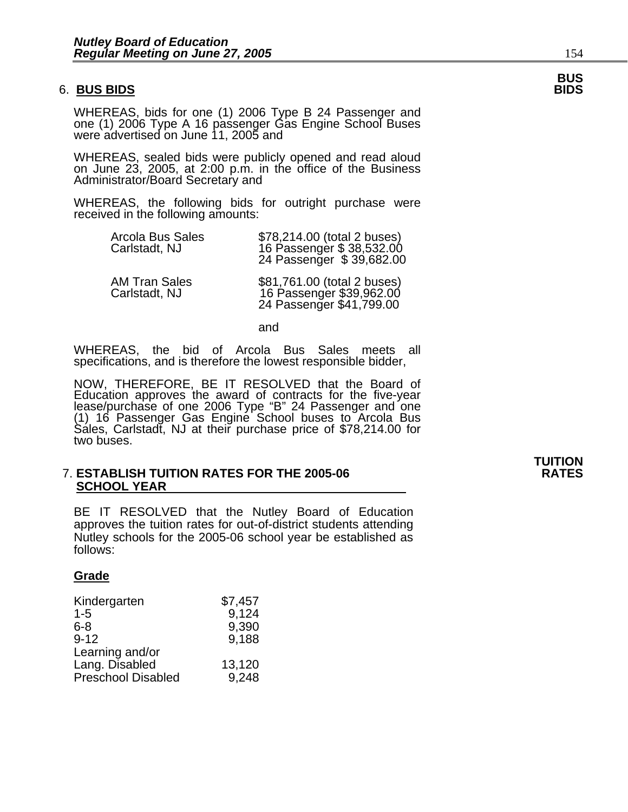#### 6. **BUS BIDS BIDS**

WHEREAS, bids for one (1) 2006 Type B 24 Passenger and one (1) 2006 Type A 16 passenger Gas Engine School Buses were advertised on June 11, 2005 and

WHEREAS, sealed bids were publicly opened and read aloud on June 23, 2005, at 2:00 p.m. in the office of the Business Administrator/Board Secretary and

WHEREAS, the following bids for outright purchase were received in the following amounts:

| <b>Arcola Bus Sales</b><br>Carlstadt, NJ | \$78,214.00 (total 2 buses)<br>16 Passenger \$ 38,532.00<br>24 Passenger \$39,682.00 |
|------------------------------------------|--------------------------------------------------------------------------------------|
| <b>AM Tran Sales</b><br>Carlstadt, NJ    | \$81,761.00 (total 2 buses)<br>16 Passenger \$39,962.00<br>24 Passenger \$41,799.00  |
|                                          | and                                                                                  |

WHEREAS, the bid of Arcola Bus Sales meets all specifications, and is therefore the lowest responsible bidder,

NOW, THEREFORE, BE IT RESOLVED that the Board of Education approves the award of contracts for the five-year lease/purchase of one 2006 Type "B" 24 Passenger and one (1) 16 Passenger Gas Engine School buses to Arcola Bus Sáles, Carlstadt̃, NJ at their̃ purchase price of \$78,214.00 for<br>two buses.

#### 7. **ESTABLISH TUITION RATES FOR THE 2005-06 RATES SCHOOL YEAR**

BE IT RESOLVED that the Nutley Board of Education approves the tuition rates for out-of-district students attending Nutley schools for the 2005-06 school year be established as follows:

#### **Grade**

| Kindergarten              | \$7,457 |
|---------------------------|---------|
| $1 - 5$                   | 9,124   |
| 6-8                       | 9,390   |
| $9 - 12$                  | 9,188   |
| Learning and/or           |         |
| Lang. Disabled            | 13,120  |
| <b>Preschool Disabled</b> | 9,248   |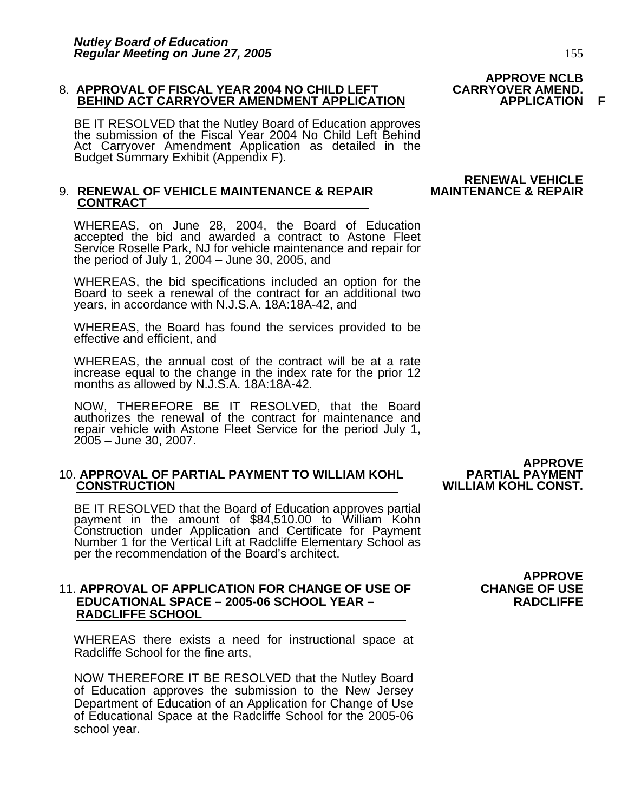#### 8. **APPROVAL OF FISCAL YEAR 2004 NO CHILD LEFT CARRYOVER AMEND. BEHIND ACT CARRYOVER AMENDMENT APPLICATION APPLICATION F**

BE IT RESOLVED that the Nutley Board of Education approves the submission of the Fiscal Year 2004 No Child Left Behind Act Carryover Amendment Application as detailed in the Budget Summary Exhibit (Appendix F).

#### 9. **RENEWAL OF VEHICLE MAINTENANCE & REPAIR MAINTENANCE & REPAIR CONTRACT**

WHEREAS, on June 28, 2004, the Board of Education accepted the bid and awarded a contract to Astone Fleet Service Roselle Park, NJ for vehicle maintenance and repair for the period of July 1, 2004 – June 30, 2005, and

WHEREAS, the bid specifications included an option for the Board to seek a renewal of the contract for an additional two years, in accordance with N.J.S.A. 18A:18A-42, and

WHEREAS, the Board has found the services provided to be effective and efficient, and

WHEREAS, the annual cost of the contract will be at a rate increase equal to the change in the index rate for the prior 12 months as allowed by N.J.S.A. 18A:18A-42.

NOW, THEREFORE BE IT RESOLVED, that the Board authorizes the renewal of the contract for maintenance and repair vehicle with Astone Fleet Service for the period July 1, 2005 – June 30, 2007.

# **APPROVE** 10. **APPROVAL OF PARTIAL PAYMENT TO WILLIAM KOHL PARTIAL PAYMENT CONSTRUCTION WILLIAM KOHL CONST.**

BE IT RESOLVED that the Board of Education approves partial payment in the amount of \$84,510.00 to William Kohn Construction under Application and Certificate for Payment Number 1 for the Vertical Lift at Radcliffe Elementary School as per the recommendation of the Board's architect.

#### 11. **APPROVAL OF APPLICATION FOR CHANGE OF USE OF EDUCATIONAL SPACE – 2005-06 SCHOOL YEAR – RADCLIFFE RADCLIFFE SCHOOL**

WHEREAS there exists a need for instructional space at Radcliffe School for the fine arts,

NOW THEREFORE IT BE RESOLVED that the Nutley Board of Education approves the submission to the New Jersey Department of Education of an Application for Change of Use of Educational Space at the Radcliffe School for the 2005-06 school year.

## **RENEWAL VEHICLE<br>MAINTENANCE & REPAIR**

# **APPROVE**<br>CHANGE OF USE

# **APPROVE NCLB**<br>CARRYOVER AMEND.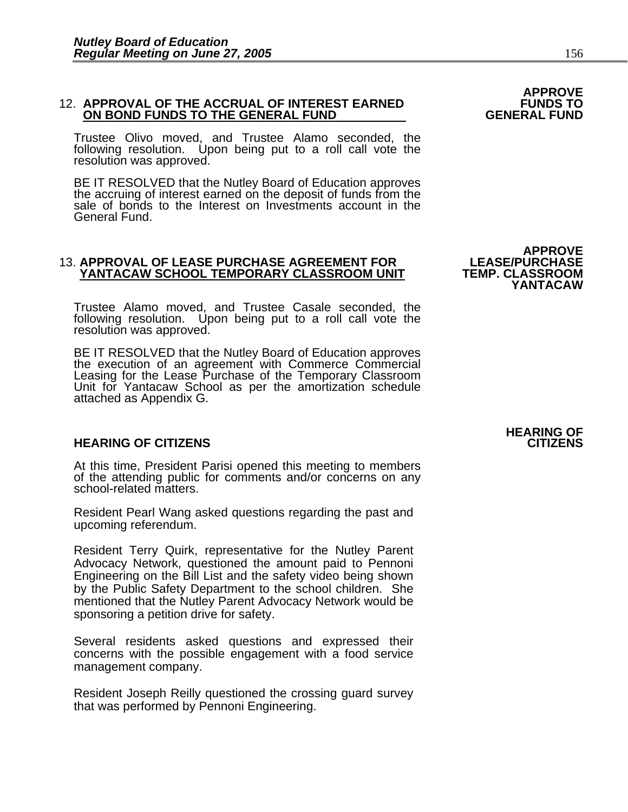## 12. APPROVAL OF THE ACCRUAL OF INTEREST EARNED FUNDS TO **ON BOND FUNDS TO THE GENERAL FUND**

Trustee Olivo moved, and Trustee Alamo seconded, the following resolution. Upon being put to a roll call vote the resolution was approved.

BE IT RESOLVED that the Nutley Board of Education approves the accruing of interest earned on the deposit of funds from the sale of bonds to the Interest on Investments account in the General Fund.

### **APPROVE**  13. **APPROVAL OF LEASE PURCHASE AGREEMENT FOR LEASE/PURCHASE YANTACAW SCHOOL TEMPORARY CLASSROOM UNIT TEMP. CLASSROOM**

Trustee Alamo moved, and Trustee Casale seconded, the following resolution. Upon being put to a roll call vote the resolution was approved.

BE IT RESOLVED that the Nutley Board of Education approves<br>the execution of an agreement with Commerce Commercial<br>Leasing for the Lease Purchase of the Temporary Classroom<br>Unit for Yantacaw School as per the amortization s

#### **HEARING OF CITIZENS CITIZENS**

At this time, President Parisi opened this meeting to members of the attending public for comments and/or concerns on any school-related matters.

Resident Pearl Wang asked questions regarding the past and upcoming referendum.

Resident Terry Quirk, representative for the Nutley Parent Advocacy Network, questioned the amount paid to Pennoni Engineering on the Bill List and the safety video being shown by the Public Safety Department to the school children. She mentioned that the Nutley Parent Advocacy Network would be sponsoring a petition drive for safety.

Several residents asked questions and expressed their concerns with the possible engagement with a food service management company.

Resident Joseph Reilly questioned the crossing guard survey that was performed by Pennoni Engineering.

**YANTACAW** 

# **APPROVE**